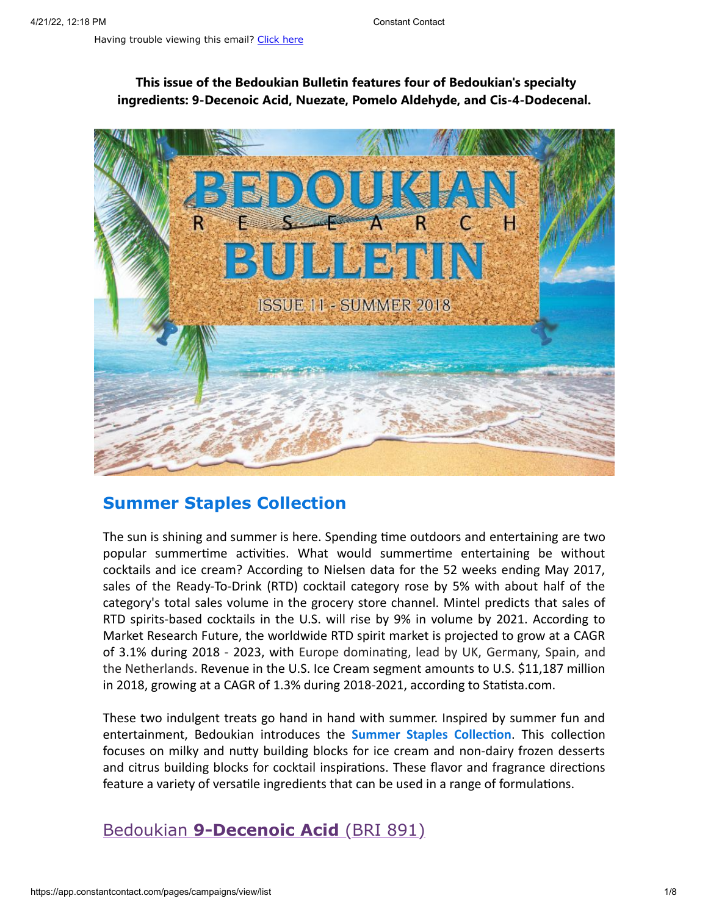### **This issue of the Bedoukian Bulletin features four of Bedoukian's specialty ingredients: 9-Decenoic Acid, Nuezate, Pomelo Aldehyde, and Cis-4-Dodecenal.**



## **Summer Staples Collection**

The sun is shining and summer is here. Spending time outdoors and entertaining are two popular summertime activities. What would summertime entertaining be without cocktails and ice cream? According to Nielsen data for the 52 weeks ending May 2017, sales of the Ready-To-Drink (RTD) cocktail category rose by 5% with about half of the category's total sales volume in the grocery store channel. Mintel predicts that sales of RTD spirits-based cocktails in the U.S. will rise by 9% in volume by 2021. According to Market Research Future, the worldwide RTD spirit market is projected to grow at a CAGR of 3.1% during 2018 - 2023, with Europe dominating, lead by UK, Germany, Spain, and the Netherlands. Revenue in the U.S. Ice Cream segment amounts to U.S. \$11,187 million in 2018, growing at a CAGR of 1.3% during 2018-2021, according to Statista.com.

These two indulgent treats go hand in hand with summer. Inspired by summer fun and entertainment, Bedoukian introduces the **Summer Staples Collection**. This collection focuses on milky and nutty building blocks for ice cream and non-dairy frozen desserts and citrus building blocks for cocktail inspirations. These flavor and fragrance directions feature a variety of versatile ingredients that can be used in a range of formulations.

# Bedoukian **[9-Decenoic Acid](http://search.bedoukian.com/flavorfragrance/ff_product.asp?method=POP&id=891)** (BRI 891)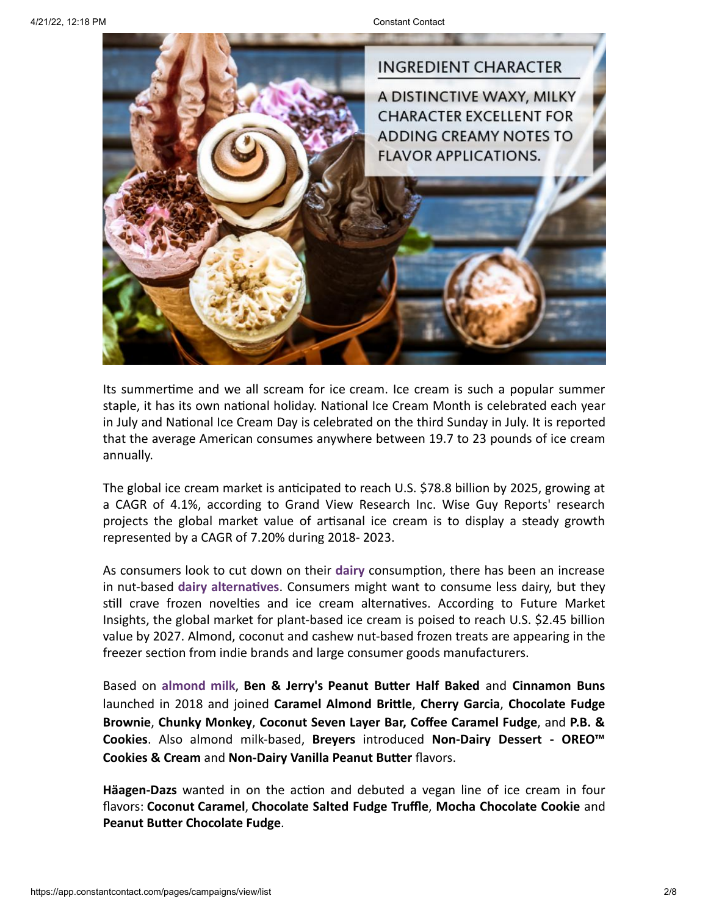

Its summertime and we all scream for ice cream. Ice cream is such a popular summer staple, it has its own national holiday. National Ice Cream Month is celebrated each year in July and National Ice Cream Day is celebrated on the third Sunday in July. It is reported that the average American consumes anywhere between 19.7 to 23 pounds of ice cream annually.

The global ice cream market is anticipated to reach U.S. \$78.8 billion by 2025, growing at a CAGR of 4.1%, according to Grand View Research Inc. Wise Guy Reports' research projects the global market value of artisanal ice cream is to display a steady growth represented by a CAGR of 7.20% during 2018- 2023.

As consumers look to cut down on their **dairy** consumption, there has been an increase in nut-based **dairy alternatives**. Consumers might want to consume less dairy, but they still crave frozen novelties and ice cream alternatives. According to Future Market Insights, the global market for plant-based ice cream is poised to reach U.S. \$2.45 billion value by 2027. Almond, coconut and cashew nut-based frozen treats are appearing in the freezer section from indie brands and large consumer goods manufacturers.

Based on **almond milk**, **Ben & Jerry's Peanut Butter Half Baked** and **Cinnamon Buns** launched in 2018 and joined **Caramel Almond Brittle**, **Cherry Garcia**, **Chocolate Fudge Brownie**, **Chunky Monkey**, **Coconut Seven Layer Bar, Coffee Caramel Fudge**, and **P.B. & Cookies**. Also almond milk-based, **Breyers** introduced **Non-Dairy Dessert - OREO™ Cookies & Cream** and **Non-Dairy Vanilla Peanut Butter** flavors.

**Häagen-Dazs** wanted in on the action and debuted a vegan line of ice cream in four flavors: **Coconut Caramel**, **Chocolate Salted Fudge Truffle**, **Mocha Chocolate Cookie** and **Peanut Butter Chocolate Fudge**.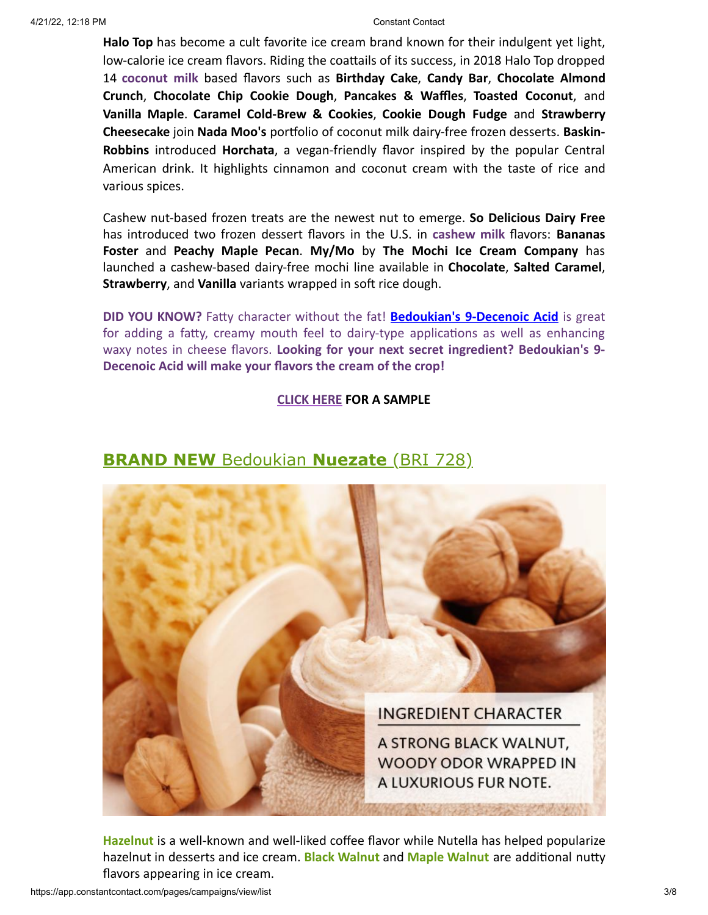**Halo Top** has become a cult favorite ice cream brand known for their indulgent yet light, low-calorie ice cream flavors. Riding the coattails of its success, in 2018 Halo Top dropped 14 **coconut milk** based flavors such as **Birthday Cake**, **Candy Bar**, **Chocolate Almond Crunch**, **Chocolate Chip Cookie Dough**, **Pancakes & Waffles**, **Toasted Coconut**, and **Vanilla Maple**. **Caramel Cold-Brew & Cookies**, **Cookie Dough Fudge** and **Strawberry Cheesecake** join **Nada Moo's** portfolio of coconut milk dairy-free frozen desserts. **Baskin-Robbins** introduced **Horchata**, a vegan-friendly flavor inspired by the popular Central American drink. It highlights cinnamon and coconut cream with the taste of rice and various spices.

Cashew nut-based frozen treats are the newest nut to emerge. **So Delicious Dairy Free** has introduced two frozen dessert flavors in the U.S. in **cashew milk** flavors: **Bananas Foster** and **Peachy Maple Pecan**. **My/Mo** by **The Mochi Ice Cream Company** has launched a cashew-based dairy-free mochi line available in **Chocolate**, **Salted Caramel**, **Strawberry**, and **Vanilla** variants wrapped in soft rice dough.

**DID YOU KNOW?** Fatty character without the fat! **[Bedoukian's 9-Decenoic Acid](http://search.bedoukian.com/flavorfragrance/ff_product.asp?method=POP&id=891)** is great for adding a fatty, creamy mouth feel to dairy-type applications as well as enhancing waxy notes in cheese flavors. **Looking for your next secret ingredient? Bedoukian's 9- Decenoic Acid will make your flavors the cream of the crop!**

### **[CLICK HERE](mailto:customerservice@bedoukian.com?subject=Bedoukian%20Bulletin%20-%20Summer%202018&body=Hello%2C%0A%0AI%20would%20like%20to%20request%20free%20samples%20of%20each%20product%20advertised%20in%20the%20Summer%202018%20Bedoukian%20Bulletin!) FOR A SAMPLE**



## **BRAND NEW** Bedoukian **[Nuezate](http://search.bedoukian.com/flavorfragrance/ff_product.asp?method=POP&id=728)** (BRI 728)

**Hazelnut** is a well-known and well-liked coffee flavor while Nutella has helped popularize hazelnut in desserts and ice cream. **Black Walnut** and **Maple Walnut** are additional nutty flavors appearing in ice cream.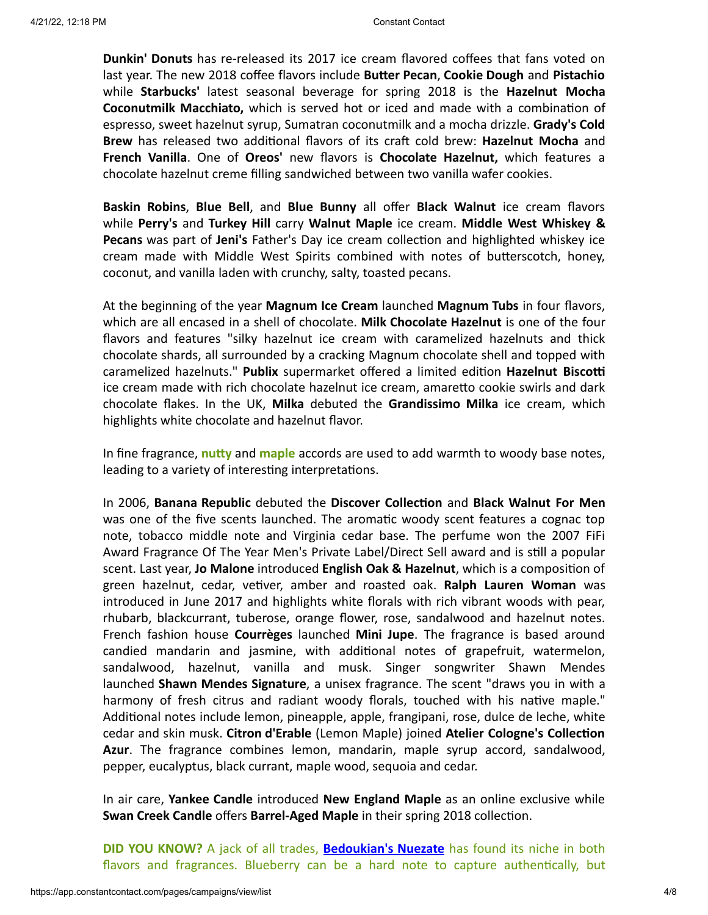**Dunkin' Donuts** has re-released its 2017 ice cream flavored coffees that fans voted on last year. The new 2018 coffee flavors include **Butter Pecan**, **Cookie Dough** and **Pistachio** while **Starbucks'** latest seasonal beverage for spring 2018 is the **Hazelnut Mocha Coconutmilk Macchiato,** which is served hot or iced and made with a combination of espresso, sweet hazelnut syrup, Sumatran coconutmilk and a mocha drizzle. **Grady's Cold Brew** has released two additional flavors of its craft cold brew: **Hazelnut Mocha** and **French Vanilla**. One of **Oreos'** new flavors is **Chocolate Hazelnut,** which features a chocolate hazelnut creme filling sandwiched between two vanilla wafer cookies.

**Baskin Robins**, **Blue Bell**, and **Blue Bunny** all offer **Black Walnut** ice cream flavors while **Perry's** and **Turkey Hill** carry **Walnut Maple** ice cream. **Middle West Whiskey & Pecans** was part of **Jeni's** Father's Day ice cream collection and highlighted whiskey ice cream made with Middle West Spirits combined with notes of butterscotch, honey, coconut, and vanilla laden with crunchy, salty, toasted pecans.

At the beginning of the year **Magnum Ice Cream** launched **Magnum Tubs** in four flavors, which are all encased in a shell of chocolate. **Milk Chocolate Hazelnut** is one of the four flavors and features "silky hazelnut ice cream with caramelized hazelnuts and thick chocolate shards, all surrounded by a cracking Magnum chocolate shell and topped with caramelized hazelnuts." **Publix** supermarket offered a limited edition **Hazelnut Biscotti** ice cream made with rich chocolate hazelnut ice cream, amaretto cookie swirls and dark chocolate flakes. In the UK, **Milka** debuted the **Grandissimo Milka** ice cream, which highlights white chocolate and hazelnut flavor.

In fine fragrance, **nutty** and **maple** accords are used to add warmth to woody base notes, leading to a variety of interesting interpretations.

In 2006, **Banana Republic** debuted the **Discover Collection** and **Black Walnut For Men** was one of the five scents launched. The aromatic woody scent features a cognac top note, tobacco middle note and Virginia cedar base. The perfume won the 2007 FiFi Award Fragrance Of The Year Men's Private Label/Direct Sell award and is still a popular scent. Last year, **Jo Malone** introduced **English Oak & Hazelnut**, which is a composition of green hazelnut, cedar, vetiver, amber and roasted oak. **Ralph Lauren Woman** was introduced in June 2017 and highlights white florals with rich vibrant woods with pear, rhubarb, blackcurrant, tuberose, orange flower, rose, sandalwood and hazelnut notes. French fashion house **Courrèges** launched **Mini Jupe**. The fragrance is based around candied mandarin and jasmine, with additional notes of grapefruit, watermelon, sandalwood, hazelnut, vanilla and musk. Singer songwriter Shawn Mendes launched **Shawn Mendes Signature**, a unisex fragrance. The scent "draws you in with a harmony of fresh citrus and radiant woody florals, touched with his native maple." Additional notes include lemon, pineapple, apple, frangipani, rose, dulce de leche, white cedar and skin musk. **Citron d'Erable** (Lemon Maple) joined **Atelier Cologne's Collection Azur**. The fragrance combines lemon, mandarin, maple syrup accord, sandalwood, pepper, eucalyptus, black currant, maple wood, sequoia and cedar.

In air care, **Yankee Candle** introduced **New England Maple** as an online exclusive while **Swan Creek Candle** offers **Barrel-Aged Maple** in their spring 2018 collection.

**DID YOU KNOW?** A jack of all trades, **[Bedoukian's Nuezate](http://search.bedoukian.com/flavorfragrance/ff_product.asp?method=POP&id=728)** has found its niche in both flavors and fragrances. Blueberry can be a hard note to capture authentically, but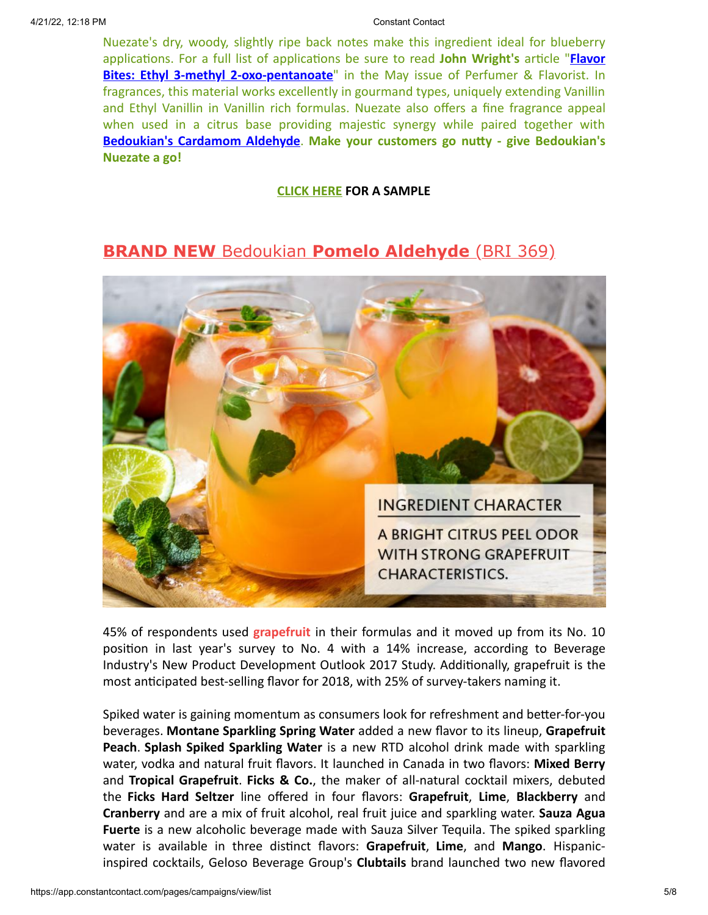Nuezate's dry, woody, slightly ripe back notes make this ingredient ideal for blueberry [applications. For a full list of applications be sure to read](https://www.perfumerflavorist.com/flavor/rawmaterials/synthetic/Flavor-Bites-Ethyl-3-methyl-2-oxo-pentanoate-480584241.html?utm_source=newsletter-html&utm_medium=email&utm_campaign=PF+E-Newsletter+05-01-2018&absrc=hdl&ajs_trait_oebid=6901B2476689B3F) **John Wright's** article "**Flavor Bites: Ethyl 3-methyl 2-oxo-pentanoate**" in the May issue of Perfumer & Flavorist. In fragrances, this material works excellently in gourmand types, uniquely extending Vanillin and Ethyl Vanillin in Vanillin rich formulas. Nuezate also offers a fine fragrance appeal when used in a citrus base providing majestic synergy while paired together with **[Bedoukian's Cardamom Aldehyde](http://search.bedoukian.com/flavorfragrance/ff_product.asp?method=POP&id=381)**. **Make your customers go nutty - give Bedoukian's Nuezate a go!**

### **[CLICK HERE](mailto:customerservice@bedoukian.com?subject=Bedoukian%20Bulletin%20-%20Summer%202018&body=Hello%2C%0A%0AI%20would%20like%20to%20request%20free%20samples%20of%20each%20product%20advertised%20in%20the%20Summer%202018%20Bedoukian%20Bulletin!) FOR A SAMPLE**

# **BRAND NEW** Bedoukian **[Pomelo Aldehyde](http://search.bedoukian.com/flavorfragrance/ff_product.asp?method=POP&id=369)** (BRI 369)



45% of respondents used **grapefruit** in their formulas and it moved up from its No. 10 position in last year's survey to No. 4 with a 14% increase, according to Beverage Industry's New Product Development Outlook 2017 Study. Additionally, grapefruit is the most anticipated best-selling flavor for 2018, with 25% of survey-takers naming it.

Spiked water is gaining momentum as consumers look for refreshment and better-for-you beverages. **Montane Sparkling Spring Water** added a new flavor to its lineup, **Grapefruit Peach**. **Splash Spiked Sparkling Water** is a new RTD alcohol drink made with sparkling water, vodka and natural fruit flavors. It launched in Canada in two flavors: **Mixed Berry** and **Tropical Grapefruit**. **Ficks & Co.**, the maker of all-natural cocktail mixers, debuted the **Ficks Hard Seltzer** line offered in four flavors: **Grapefruit**, **Lime**, **Blackberry** and **Cranberry** and are a mix of fruit alcohol, real fruit juice and sparkling water. **Sauza Agua Fuerte** is a new alcoholic beverage made with Sauza Silver Tequila. The spiked sparkling water is available in three distinct flavors: **Grapefruit**, **Lime**, and **Mango**. Hispanicinspired cocktails, Geloso Beverage Group's **Clubtails** brand launched two new flavored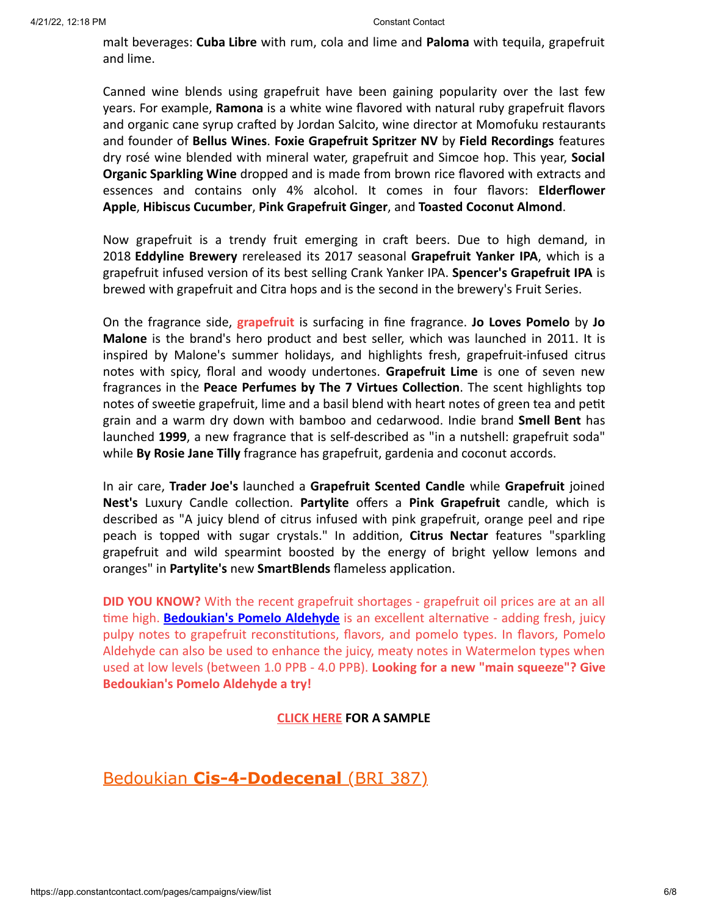malt beverages: **Cuba Libre** with rum, cola and lime and **Paloma** with tequila, grapefruit and lime.

Canned wine blends using grapefruit have been gaining popularity over the last few years. For example, **Ramona** is a white wine flavored with natural ruby grapefruit flavors and organic cane syrup crafted by Jordan Salcito, wine director at Momofuku restaurants and founder of **Bellus Wines**. **Foxie Grapefruit Spritzer NV** by **Field Recordings** features dry rosé wine blended with mineral water, grapefruit and Simcoe hop. This year, **Social Organic Sparkling Wine** dropped and is made from brown rice flavored with extracts and essences and contains only 4% alcohol. It comes in four flavors: **Elderflower Apple**, **Hibiscus Cucumber**, **Pink Grapefruit Ginger**, and **Toasted Coconut Almond**.

Now grapefruit is a trendy fruit emerging in craft beers. Due to high demand, in 2018 **Eddyline Brewery** rereleased its 2017 seasonal **Grapefruit Yanker IPA**, which is a grapefruit infused version of its best selling Crank Yanker IPA. **Spencer's Grapefruit IPA** is brewed with grapefruit and Citra hops and is the second in the brewery's Fruit Series.

On the fragrance side, **grapefruit** is surfacing in fine fragrance. **Jo Loves Pomelo** by **Jo Malone** is the brand's hero product and best seller, which was launched in 2011. It is inspired by Malone's summer holidays, and highlights fresh, grapefruit-infused citrus notes with spicy, floral and woody undertones. **Grapefruit Lime** is one of seven new fragrances in the **Peace Perfumes by The 7 Virtues Collection**. The scent highlights top notes of sweetie grapefruit, lime and a basil blend with heart notes of green tea and petit grain and a warm dry down with bamboo and cedarwood. Indie brand **Smell Bent** has launched **1999**, a new fragrance that is self-described as "in a nutshell: grapefruit soda" while **By Rosie Jane Tilly** fragrance has grapefruit, gardenia and coconut accords.

In air care, **Trader Joe's** launched a **Grapefruit Scented Candle** while **Grapefruit** joined **Nest's** Luxury Candle collection. **Partylite** offers a **Pink Grapefruit** candle, which is described as "A juicy blend of citrus infused with pink grapefruit, orange peel and ripe peach is topped with sugar crystals." In addition, **Citrus Nectar** features "sparkling grapefruit and wild spearmint boosted by the energy of bright yellow lemons and oranges" in **Partylite's** new **SmartBlends** flameless application.

**DID YOU KNOW?** With the recent grapefruit shortages - grapefruit oil prices are at an all time high. **[Bedoukian's Pomelo Aldehyde](http://search.bedoukian.com/flavorfragrance/ff_product.asp?method=POP&id=369)** is an excellent alternative - adding fresh, juicy pulpy notes to grapefruit reconstitutions, flavors, and pomelo types. In flavors, Pomelo Aldehyde can also be used to enhance the juicy, meaty notes in Watermelon types when used at low levels (between 1.0 PPB - 4.0 PPB). **Looking for a new "main squeeze"? Give Bedoukian's Pomelo Aldehyde a try!**

### **[CLICK HERE](mailto:customerservice@bedoukian.com?subject=Bedoukian%20Bulletin%20-%20Summer%202018&body=Hello%2C%0A%0AI%20would%20like%20to%20request%20free%20samples%20of%20each%20product%20advertised%20in%20the%20Summer%202018%20Bedoukian%20Bulletin!) FOR A SAMPLE**

Bedoukian **[Cis-4-Dodecenal](http://search.bedoukian.com/flavorfragrance/ff_product.asp?method=POP&id=387)** (BRI 387)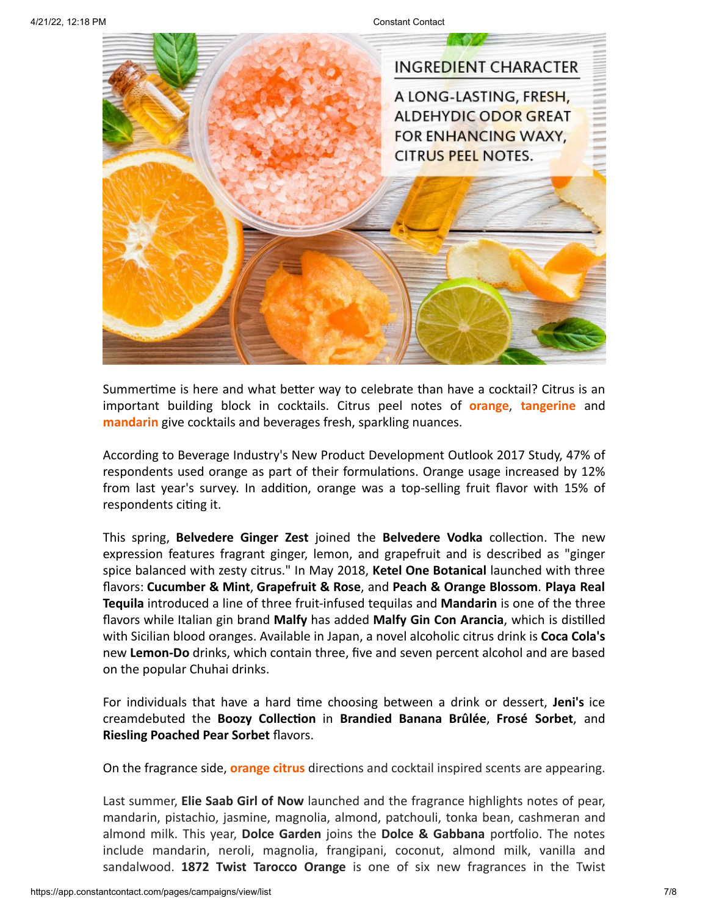

Summertime is here and what better way to celebrate than have a cocktail? Citrus is an important building block in cocktails. Citrus peel notes of **orange**, **tangerine** and **mandarin** give cocktails and beverages fresh, sparkling nuances.

According to Beverage Industry's New Product Development Outlook 2017 Study, 47% of respondents used orange as part of their formulations. Orange usage increased by 12% from last year's survey. In addition, orange was a top-selling fruit flavor with 15% of respondents citing it.

This spring, **Belvedere Ginger Zest** joined the **Belvedere Vodka** collection. The new expression features fragrant ginger, lemon, and grapefruit and is described as "ginger spice balanced with zesty citrus." In May 2018, **Ketel One Botanical** launched with three flavors: **Cucumber & Mint**, **Grapefruit & Rose**, and **Peach & Orange Blossom**. **Playa Real Tequila** introduced a line of three fruit-infused tequilas and **Mandarin** is one of the three flavors while Italian gin brand **Malfy** has added **Malfy Gin Con Arancia**, which is distilled with Sicilian blood oranges. Available in Japan, a novel alcoholic citrus drink is **Coca Cola's** new **Lemon-Do** drinks, which contain three, five and seven percent alcohol and are based on the popular Chuhai drinks.

For individuals that have a hard time choosing between a drink or dessert, **Jeni's** ice creamdebuted the **Boozy Collection** in **Brandied Banana Brûlée**, **Frosé Sorbet**, and **Riesling Poached Pear Sorbet** flavors.

On the fragrance side, **orange citrus** directions and cocktail inspired scents are appearing.

Last summer, **Elie Saab Girl of Now** launched and the fragrance highlights notes of pear, mandarin, pistachio, jasmine, magnolia, almond, patchouli, tonka bean, cashmeran and almond milk. This year, **Dolce Garden** joins the **Dolce & Gabbana** portfolio. The notes include mandarin, neroli, magnolia, frangipani, coconut, almond milk, vanilla and sandalwood. **1872 Twist Tarocco Orange** is one of six new fragrances in the Twist